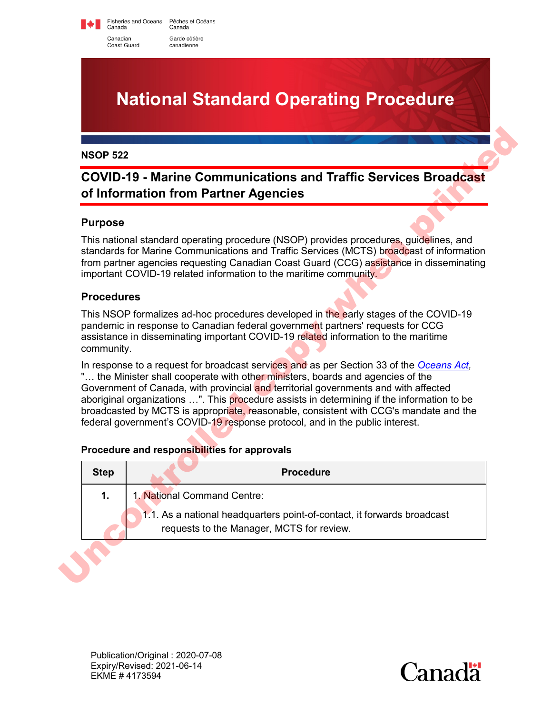Fisheries and Oceans Pêches et Océans<br>Canada Canada Canadian Garde côtière canadienne

Coast Guard

# **National Standard Operating Procedure**

### **COVID-19 - Marine Communications and Traffic Services Broadcast of Information from Partner Agencies**

### **Purpose**

### **Procedures**

#### **Procedure and responsibilities for approvals**

|                   | <b>COVID-19 - Marine Communications and Traffic Services Broadcast</b><br>of Information from Partner Agencies                                                                                                                                                                                                                                                                                                                                                                                                                            |
|-------------------|-------------------------------------------------------------------------------------------------------------------------------------------------------------------------------------------------------------------------------------------------------------------------------------------------------------------------------------------------------------------------------------------------------------------------------------------------------------------------------------------------------------------------------------------|
| <b>Purpose</b>    |                                                                                                                                                                                                                                                                                                                                                                                                                                                                                                                                           |
|                   | This national standard operating procedure (NSOP) provides procedures, guidelines, and<br>standards for Marine Communications and Traffic Services (MCTS) broadcast of information<br>from partner agencies requesting Canadian Coast Guard (CCG) assistance in disseminating<br>important COVID-19 related information to the maritime community.                                                                                                                                                                                        |
| <b>Procedures</b> |                                                                                                                                                                                                                                                                                                                                                                                                                                                                                                                                           |
|                   | This NSOP formalizes ad-hoc procedures developed in the early stages of the COVID-19<br>pandemic in response to Canadian federal government partners' requests for CCG                                                                                                                                                                                                                                                                                                                                                                    |
| community.        | assistance in disseminating important COVID-19 related information to the maritime                                                                                                                                                                                                                                                                                                                                                                                                                                                        |
|                   | In response to a request for broadcast services and as per Section 33 of the Oceans Act,<br>" the Minister shall cooperate with other ministers, boards and agencies of the<br>Government of Canada, with provincial and territorial governments and with affected<br>aboriginal organizations ". This procedure assists in determining if the information to be<br>broadcasted by MCTS is appropriate, reasonable, consistent with CCG's mandate and the<br>federal government's COVID-19 response protocol, and in the public interest. |
| <b>Step</b>       | Procedure and responsibilities for approvals<br><b>Procedure</b>                                                                                                                                                                                                                                                                                                                                                                                                                                                                          |
| $\mathbf 1$ .     | 1. National Command Centre:                                                                                                                                                                                                                                                                                                                                                                                                                                                                                                               |

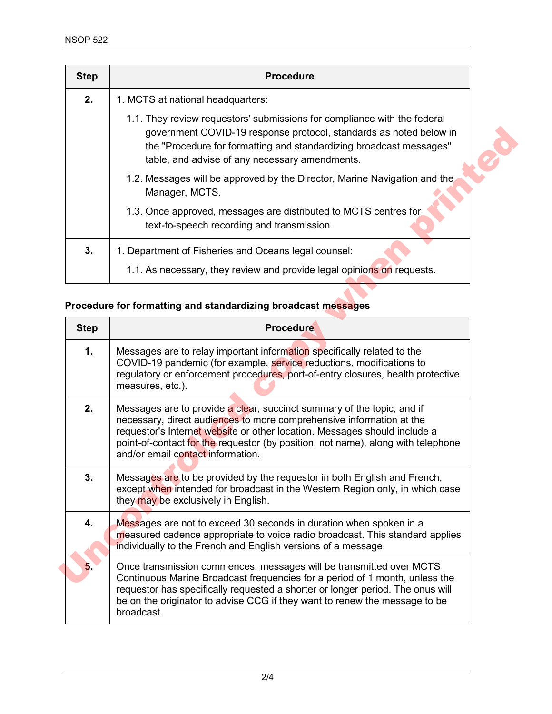| <b>Step</b> | <b>Procedure</b>                                                                                                                                                                                                                                                        |
|-------------|-------------------------------------------------------------------------------------------------------------------------------------------------------------------------------------------------------------------------------------------------------------------------|
| 2.          | 1. MCTS at national headquarters:                                                                                                                                                                                                                                       |
|             | 1.1. They review requestors' submissions for compliance with the federal<br>government COVID-19 response protocol, standards as noted below in<br>the "Procedure for formatting and standardizing broadcast messages"<br>table, and advise of any necessary amendments. |
|             | 1.2. Messages will be approved by the Director, Marine Navigation and the<br>Manager, MCTS.                                                                                                                                                                             |
|             | 1.3. Once approved, messages are distributed to MCTS centres for<br>text-to-speech recording and transmission.                                                                                                                                                          |
| 3.          | 1. Department of Fisheries and Oceans legal counsel:                                                                                                                                                                                                                    |
|             | 1.1. As necessary, they review and provide legal opinions on requests.                                                                                                                                                                                                  |

# **Procedure for formatting and standardizing broadcast messages**

|             | government COVID-19 response protocol, standards as noted below in<br>the "Procedure for formatting and standardizing broadcast messages"<br>table, and advise of any necessary amendments.                                                                                                                                                          |
|-------------|------------------------------------------------------------------------------------------------------------------------------------------------------------------------------------------------------------------------------------------------------------------------------------------------------------------------------------------------------|
|             | 1.2. Messages will be approved by the Director, Marine Navigation and the<br>Manager, MCTS.                                                                                                                                                                                                                                                          |
|             | 1.3. Once approved, messages are distributed to MCTS centres for<br>text-to-speech recording and transmission.                                                                                                                                                                                                                                       |
| 3.          | 1. Department of Fisheries and Oceans legal counsel:                                                                                                                                                                                                                                                                                                 |
|             | 1.1. As necessary, they review and provide legal opinions on requests.                                                                                                                                                                                                                                                                               |
|             | Procedure for formatting and standardizing broadcast messages                                                                                                                                                                                                                                                                                        |
| <b>Step</b> | <b>Procedure</b>                                                                                                                                                                                                                                                                                                                                     |
| 1.          | Messages are to relay important information specifically related to the<br>COVID-19 pandemic (for example, service reductions, modifications to<br>regulatory or enforcement procedures, port-of-entry closures, health protective<br>measures, etc.).                                                                                               |
| 2.          | Messages are to provide a clear, succinct summary of the topic, and if<br>necessary, direct audiences to more comprehensive information at the<br>requestor's Internet website or other location. Messages should include a<br>point-of-contact for the requestor (by position, not name), along with telephone<br>and/or email contact information. |
| 3.          | Messages are to be provided by the requestor in both English and French,<br>except when intended for broadcast in the Western Region only, in which case<br>they may be exclusively in English.                                                                                                                                                      |
| 4.          | Messages are not to exceed 30 seconds in duration when spoken in a<br>measured cadence appropriate to voice radio broadcast. This standard applies<br>individually to the French and English versions of a message.                                                                                                                                  |
| 5.          | Once transmission commences, messages will be transmitted over MCTS<br>Continuous Marine Broadcast frequencies for a period of 1 month, unless the<br>requestor has specifically requested a shorter or longer period. The onus will                                                                                                                 |
|             | be on the originator to advise CCG if they want to renew the message to be<br>broadcast.                                                                                                                                                                                                                                                             |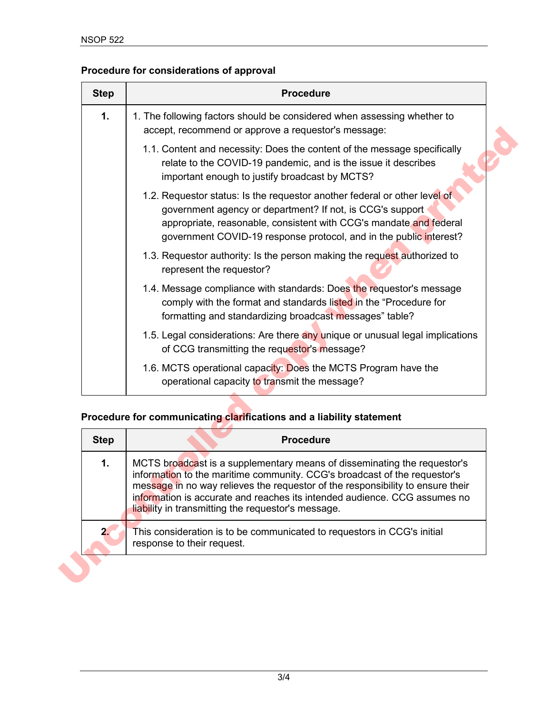# **Procedure for considerations of approval**

| <b>Step</b> | <b>Procedure</b>                                                                                                                                                                                                                                                                                                                                                           |
|-------------|----------------------------------------------------------------------------------------------------------------------------------------------------------------------------------------------------------------------------------------------------------------------------------------------------------------------------------------------------------------------------|
| 1.          | 1. The following factors should be considered when assessing whether to<br>accept, recommend or approve a requestor's message:                                                                                                                                                                                                                                             |
|             | 1.1. Content and necessity: Does the content of the message specifically<br>relate to the COVID-19 pandemic, and is the issue it describes<br>important enough to justify broadcast by MCTS?                                                                                                                                                                               |
|             | 1.2. Requestor status: Is the requestor another federal or other level of<br>government agency or department? If not, is CCG's support<br>appropriate, reasonable, consistent with CCG's mandate and federal<br>government COVID-19 response protocol, and in the public interest?                                                                                         |
|             | 1.3. Requestor authority: Is the person making the request authorized to<br>represent the requestor?                                                                                                                                                                                                                                                                       |
|             | 1.4. Message compliance with standards: Does the requestor's message<br>comply with the format and standards listed in the "Procedure for<br>formatting and standardizing broadcast messages" table?                                                                                                                                                                       |
|             | 1.5. Legal considerations: Are there any unique or unusual legal implications<br>of CCG transmitting the requestor's message?                                                                                                                                                                                                                                              |
|             | 1.6. MCTS operational capacity: Does the MCTS Program have the<br>operational capacity to transmit the message?                                                                                                                                                                                                                                                            |
|             |                                                                                                                                                                                                                                                                                                                                                                            |
|             | Procedure for communicating clarifications and a liability statement                                                                                                                                                                                                                                                                                                       |
| <b>Step</b> | <b>Procedure</b>                                                                                                                                                                                                                                                                                                                                                           |
| 1.          | MCTS broadcast is a supplementary means of disseminating the requestor's<br>information to the maritime community. CCG's broadcast of the requestor's<br>message in no way relieves the requestor of the responsibility to ensure their<br>information is accurate and reaches its intended audience. CCG assumes no<br>liability in transmitting the requestor's message. |

### **Procedure for communicating clarifications and a liability statement**

| <b>Step</b> | <b>Procedure</b>                                                                                                                                                                                                                                                                                                                                                           |
|-------------|----------------------------------------------------------------------------------------------------------------------------------------------------------------------------------------------------------------------------------------------------------------------------------------------------------------------------------------------------------------------------|
| 1.          | MCTS broadcast is a supplementary means of disseminating the requestor's<br>information to the maritime community. CCG's broadcast of the requestor's<br>message in no way relieves the requestor of the responsibility to ensure their<br>information is accurate and reaches its intended audience. CCG assumes no<br>liability in transmitting the requestor's message. |
| 2.          | This consideration is to be communicated to requestors in CCG's initial<br>response to their request.                                                                                                                                                                                                                                                                      |